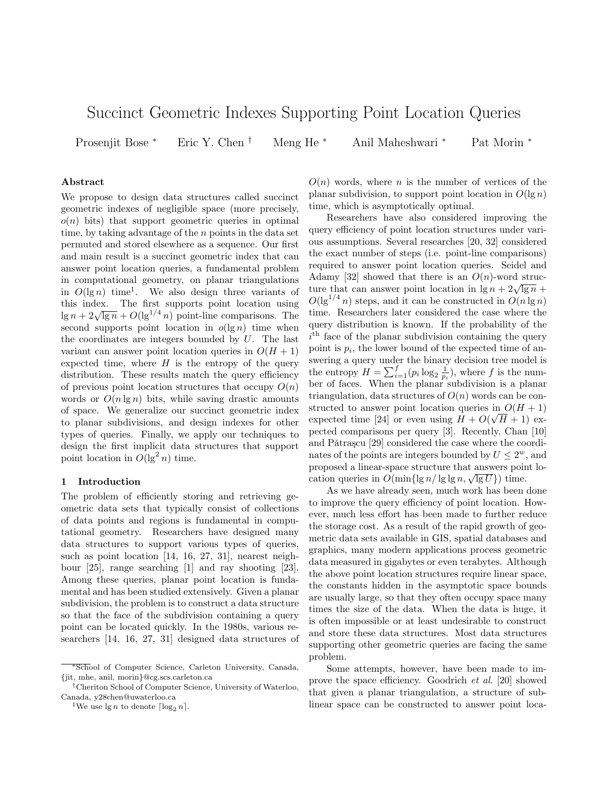# Succinct Geometric Indexes Supporting Point Location Queries

Prosenjit Bose <sup>∗</sup> Eric Y. Chen † Meng He <sup>∗</sup> Anil Maheshwari <sup>∗</sup> Pat Morin <sup>∗</sup>

#### **Abstract**

We propose to design data structures called succinct geometric indexes of negligible space (more precisely,  $o(n)$  bits) that support geometric queries in optimal time, by taking advantage of the n points in the data set permuted and stored elsewhere as a sequence. Our first and main result is a succinct geometric index that can answer point location queries, a fundamental problem in computational geometry, on planar triangulations in  $O(\lg n)$  time<sup>1</sup>. We also design three variants of this index. The first supports point location using lg  $n + 2\sqrt{\lg n} + O(\lg^{1/4} n)$  point-line comparisons. The second supports point location in  $o(\lg n)$  time when the coordinates are integers bounded by  $U$ . The last variant can answer point location queries in  $O(H + 1)$ expected time, where  $H$  is the entropy of the query distribution. These results match the query efficiency of previous point location structures that occupy  $O(n)$ words or  $O(n \lg n)$  bits, while saving drastic amounts of space. We generalize our succinct geometric index to planar subdivisions, and design indexes for other types of queries. Finally, we apply our techniques to design the first implicit data structures that support point location in  $O(\lg^2 n)$  time.

#### **1 Introduction**

The problem of efficiently storing and retrieving geometric data sets that typically consist of collections of data points and regions is fundamental in computational geometry. Researchers have designed many data structures to support various types of queries, such as point location [14, 16, 27, 31], nearest neighbour [25], range searching [1] and ray shooting [23]. Among these queries, planar point location is fundamental and has been studied extensively. Given a planar subdivision, the problem is to construct a data structure so that the face of the subdivision containing a query point can be located quickly. In the 1980s, various researchers [14, 16, 27, 31] designed data structures of

 $O(n)$  words, where n is the number of vertices of the planar subdivision, to support point location in  $O(\lg n)$ time, which is asymptotically optimal.

Researchers have also considered improving the query efficiency of point location structures under various assumptions. Several researches [20, 32] considered the exact number of steps (i.e. point-line comparisons) required to answer point location queries. Seidel and Adamy [32] showed that there is an  $O(n)$ -word structure that can answer point location in  $\lg n + 2\sqrt{\lg n} +$  $O(\lg^{1/4} n)$  steps, and it can be constructed in  $O(n \lg n)$ time. Researchers later considered the case where the query distribution is known. If the probability of the  $i<sup>th</sup>$  face of the planar subdivision containing the query point is  $p_i$ , the lower bound of the expected time of answering a query under the binary decision tree model is the entropy  $H = \sum_{i=1}^{f} (p_i \log_2 \frac{1}{p_i})$ , where f is the number of faces. When the planar subdivision is a planar triangulation, data structures of  $O(n)$  words can be constructed to answer point location queries in  $O(H + 1)$ expected time [24] or even using  $H + O(\sqrt{H} + 1)$  expected comparisons per query [3]. Recently, Chan [10] and Pǎtrașcu [29] considered the case where the coordinates of the points are integers bounded by  $U \leq 2^w$ , and proposed a linear-space structure that answers point location queries in  $O(\min\{\lg n/\lg\lg n, \sqrt{\lg U}\})$  time.

As we have already seen, much work has been done to improve the query efficiency of point location. However, much less effort has been made to further reduce the storage cost. As a result of the rapid growth of geometric data sets available in GIS, spatial databases and graphics, many modern applications process geometric data measured in gigabytes or even terabytes. Although the above point location structures require linear space, the constants hidden in the asymptotic space bounds are usually large, so that they often occupy space many times the size of the data. When the data is huge, it is often impossible or at least undesirable to construct and store these data structures. Most data structures supporting other geometric queries are facing the same problem.

Some attempts, however, have been made to improve the space efficiency. Goodrich *et al.* [20] showed that given a planar triangulation, a structure of sublinear space can be constructed to answer point loca-

<sup>∗</sup>School of Computer Science, Carleton University, Canada, {jit, mhe, anil, morin}@cg.scs.carleton.ca

<sup>†</sup>Cheriton School of Computer Science, University of Waterloo, Canada, y28chen@uwaterloo.ca

<sup>&</sup>lt;sup>1</sup>We use  $\lg n$  to denote  $\lceil \log_2 n \rceil$ .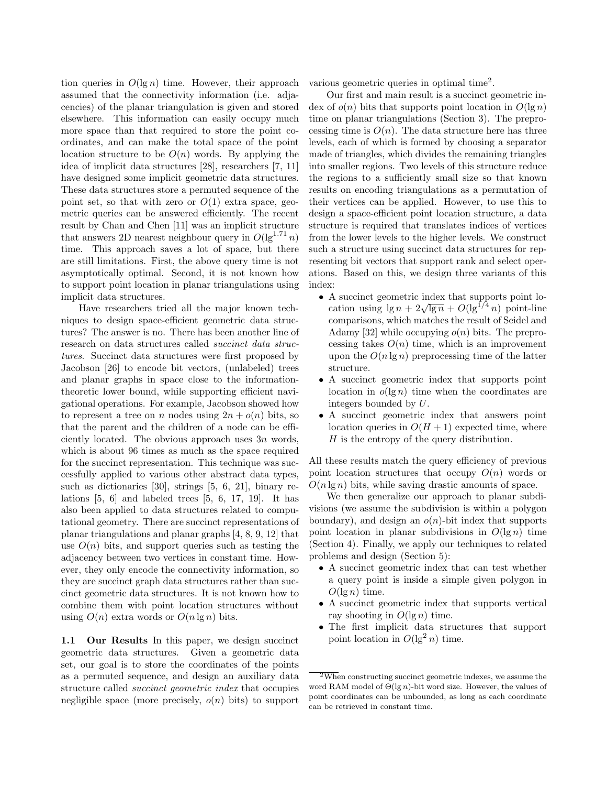tion queries in  $O(\lg n)$  time. However, their approach assumed that the connectivity information (i.e. adjacencies) of the planar triangulation is given and stored elsewhere. This information can easily occupy much more space than that required to store the point coordinates, and can make the total space of the point location structure to be  $O(n)$  words. By applying the idea of implicit data structures [28], researchers [7, 11] have designed some implicit geometric data structures. These data structures store a permuted sequence of the point set, so that with zero or  $O(1)$  extra space, geometric queries can be answered efficiently. The recent result by Chan and Chen [11] was an implicit structure that answers 2D nearest neighbour query in  $O(\lg^{1.71} n)$ time. This approach saves a lot of space, but there are still limitations. First, the above query time is not asymptotically optimal. Second, it is not known how to support point location in planar triangulations using implicit data structures.

Have researchers tried all the major known techniques to design space-efficient geometric data structures? The answer is no. There has been another line of research on data structures called *succinct data structures*. Succinct data structures were first proposed by Jacobson [26] to encode bit vectors, (unlabeled) trees and planar graphs in space close to the informationtheoretic lower bound, while supporting efficient navigational operations. For example, Jacobson showed how to represent a tree on n nodes using  $2n + o(n)$  bits, so that the parent and the children of a node can be efficiently located. The obvious approach uses 3n words, which is about 96 times as much as the space required for the succinct representation. This technique was successfully applied to various other abstract data types, such as dictionaries [30], strings [5, 6, 21], binary relations  $[5, 6]$  and labeled trees  $[5, 6, 17, 19]$ . It has also been applied to data structures related to computational geometry. There are succinct representations of planar triangulations and planar graphs [4, 8, 9, 12] that use  $O(n)$  bits, and support queries such as testing the adjacency between two vertices in constant time. However, they only encode the connectivity information, so they are succinct graph data structures rather than succinct geometric data structures. It is not known how to combine them with point location structures without using  $O(n)$  extra words or  $O(n \lg n)$  bits.

**1.1 Our Results** In this paper, we design succinct geometric data structures. Given a geometric data set, our goal is to store the coordinates of the points as a permuted sequence, and design an auxiliary data structure called *succinct geometric index* that occupies negligible space (more precisely,  $o(n)$  bits) to support various geometric queries in optimal time2.

Our first and main result is a succinct geometric index of  $o(n)$  bits that supports point location in  $O(\lg n)$ time on planar triangulations (Section 3). The preprocessing time is  $O(n)$ . The data structure here has three levels, each of which is formed by choosing a separator made of triangles, which divides the remaining triangles into smaller regions. Two levels of this structure reduce the regions to a sufficiently small size so that known results on encoding triangulations as a permutation of their vertices can be applied. However, to use this to design a space-efficient point location structure, a data structure is required that translates indices of vertices from the lower levels to the higher levels. We construct such a structure using succinct data structures for representing bit vectors that support rank and select operations. Based on this, we design three variants of this index:

- A succinct geometric index that supports point lo-A succinct geometric mask that supports point io-<br>cation using  $\lg n + 2\sqrt{\lg n} + O(\lg^{1/4} n)$  point-line comparisons, which matches the result of Seidel and Adamy [32] while occupying  $o(n)$  bits. The preprocessing takes  $O(n)$  time, which is an improvement upon the  $O(n \lg n)$  preprocessing time of the latter structure.
- A succinct geometric index that supports point location in  $o(\lg n)$  time when the coordinates are integers bounded by U.
- A succinct geometric index that answers point location queries in  $O(H + 1)$  expected time, where H is the entropy of the query distribution.

All these results match the query efficiency of previous point location structures that occupy  $O(n)$  words or  $O(n \lg n)$  bits, while saving drastic amounts of space.

We then generalize our approach to planar subdivisions (we assume the subdivision is within a polygon boundary), and design an  $o(n)$ -bit index that supports point location in planar subdivisions in  $O(\lg n)$  time (Section 4). Finally, we apply our techniques to related problems and design (Section 5):

- A succinct geometric index that can test whether a query point is inside a simple given polygon in  $O(\lg n)$  time.
- A succinct geometric index that supports vertical ray shooting in  $O(\lg n)$  time.
- The first implicit data structures that support point location in  $O(\lg^2 n)$  time.

 $2\overline{W}$ hen constructing succinct geometric indexes, we assume the word RAM model of Θ(lg *n*)-bit word size. However, the values of point coordinates can be unbounded, as long as each coordinate can be retrieved in constant time.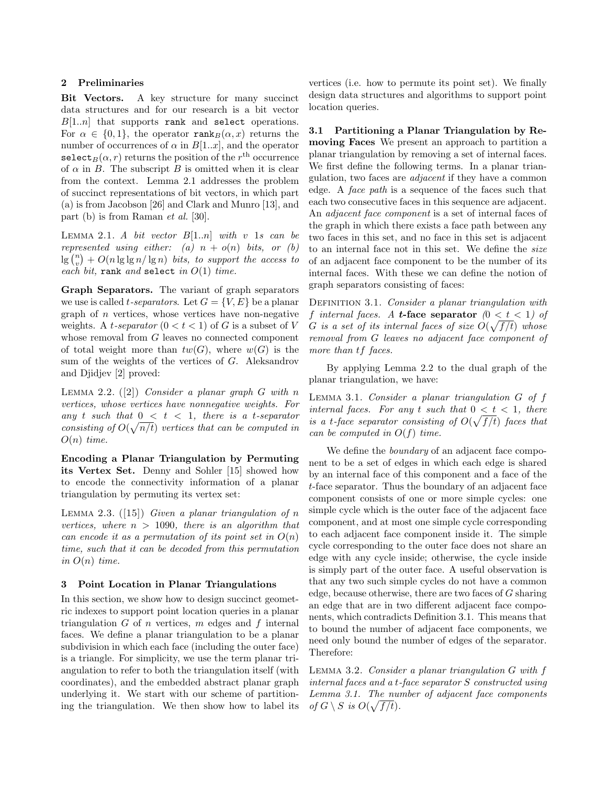### **2 Preliminaries**

**Bit Vectors.** A key structure for many succinct data structures and for our research is a bit vector  $B[1..n]$  that supports rank and select operations. For  $\alpha \in \{0, 1\}$ , the operator rank $B(\alpha, x)$  returns the number of occurrences of  $\alpha$  in  $B[1..x]$ , and the operator select<sub>B</sub> $(\alpha, r)$  returns the position of the r<sup>th</sup> occurrence of  $\alpha$  in B. The subscript B is omitted when it is clear from the context. Lemma 2.1 addresses the problem of succinct representations of bit vectors, in which part (a) is from Jacobson [26] and Clark and Munro [13], and part (b) is from Raman *et al.* [30].

LEMMA 2.1. *A bit vector*  $B[1..n]$  *with* v 1*s can be represented using either:* (a)  $n + o(n)$  *bits, or (b)*  $\log\binom{n}{v} + O(n \lg \lg n / \lg n)$  *bits, to support the access to each bit,* rank *and* select *in* O(1) *time.*

**Graph Separators.** The variant of graph separators we use is called *t-separators*. Let  $G = \{V, E\}$  be a planar graph of  $n$  vertices, whose vertices have non-negative weights. A *t*-separator  $(0 < t < 1)$  of G is a subset of V whose removal from G leaves no connected component of total weight more than  $tw(G)$ , where  $w(G)$  is the sum of the weights of the vertices of G. Aleksandrov and Djidjev [2] proved:

Lemma 2.2. ([2]) *Consider a planar graph* G *with* n *vertices, whose vertices have nonnegative weights. For* any t such that  $0 < t < 1$ , there is a t-separator *consisting of*  $O(\sqrt{n/t})$  *vertices that can be computed in* O(n) *time.*

**Encoding a Planar Triangulation by Permuting its Vertex Set.** Denny and Sohler [15] showed how to encode the connectivity information of a planar triangulation by permuting its vertex set:

Lemma 2.3. ([15]) *Given a planar triangulation of* n *vertices, where* n > 1090*, there is an algorithm that can encode it as a permutation of its point set in* O(n) *time, such that it can be decoded from this permutation in*  $O(n)$  *time.* 

## **3 Point Location in Planar Triangulations**

In this section, we show how to design succinct geometric indexes to support point location queries in a planar triangulation  $G$  of  $n$  vertices,  $m$  edges and  $f$  internal faces. We define a planar triangulation to be a planar subdivision in which each face (including the outer face) is a triangle. For simplicity, we use the term planar triangulation to refer to both the triangulation itself (with coordinates), and the embedded abstract planar graph underlying it. We start with our scheme of partitioning the triangulation. We then show how to label its

vertices (i.e. how to permute its point set). We finally design data structures and algorithms to support point location queries.

**3.1 Partitioning a Planar Triangulation by Removing Faces** We present an approach to partition a planar triangulation by removing a set of internal faces. We first define the following terms. In a planar triangulation, two faces are *adjacent* if they have a common edge. A *face path* is a sequence of the faces such that each two consecutive faces in this sequence are adjacent. An *adjacent face component* is a set of internal faces of the graph in which there exists a face path between any two faces in this set, and no face in this set is adjacent to an internal face not in this set. We define the *size* of an adjacent face component to be the number of its internal faces. With these we can define the notion of graph separators consisting of faces:

Definition 3.1. *Consider a planar triangulation with* f *internal faces.* A *t***-face separator**  $(0 < t < 1)$  of  $G$  *is a set of its internal faces of size*  $O(\sqrt{f/t})$  whose *removal from* G *leaves no adjacent face component of more than* tf *faces.*

By applying Lemma 2.2 to the dual graph of the planar triangulation, we have:

Lemma 3.1. *Consider a planar triangulation* G *of* f *internal faces. For any* t *such that*  $0 < t < 1$ *, there is a t-face separator consisting of*  $O(\sqrt{f/t})$  *faces that can be computed in* O(f) *time.*

We define the *boundary* of an adjacent face component to be a set of edges in which each edge is shared by an internal face of this component and a face of the t-face separator. Thus the boundary of an adjacent face component consists of one or more simple cycles: one simple cycle which is the outer face of the adjacent face component, and at most one simple cycle corresponding to each adjacent face component inside it. The simple cycle corresponding to the outer face does not share an edge with any cycle inside; otherwise, the cycle inside is simply part of the outer face. A useful observation is that any two such simple cycles do not have a common edge, because otherwise, there are two faces of G sharing an edge that are in two different adjacent face components, which contradicts Definition 3.1. This means that to bound the number of adjacent face components, we need only bound the number of edges of the separator. Therefore:

Lemma 3.2. *Consider a planar triangulation* G *with* f *internal faces and a* t*-face separator* S *constructed using Lemma 3.1. The number of adjacent face components of*  $G \setminus S$  *is*  $O(\sqrt{f/t})$ *.*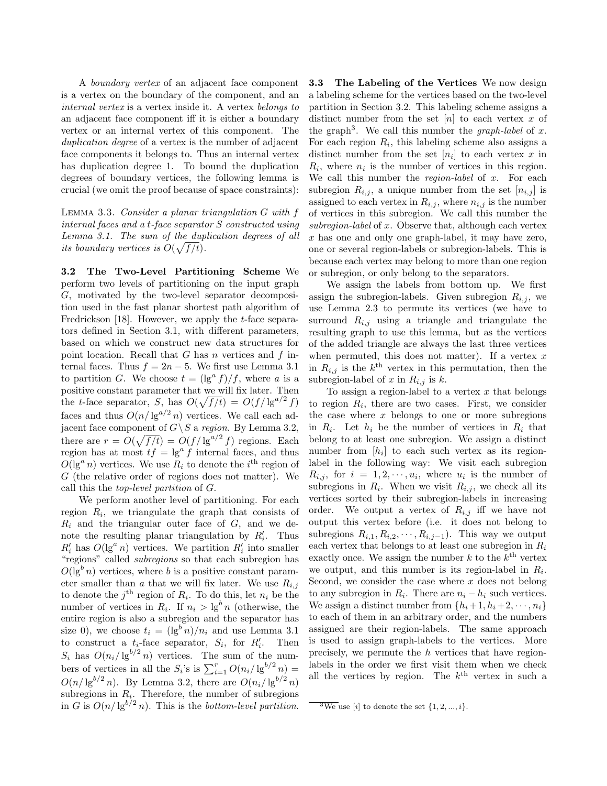A *boundary vertex* of an adjacent face component is a vertex on the boundary of the component, and an *internal vertex* is a vertex inside it. A vertex *belongs to* an adjacent face component iff it is either a boundary vertex or an internal vertex of this component. The *duplication degree* of a vertex is the number of adjacent face components it belongs to. Thus an internal vertex has duplication degree 1. To bound the duplication degrees of boundary vertices, the following lemma is crucial (we omit the proof because of space constraints):

Lemma 3.3. *Consider a planar triangulation* G *with* f *internal faces and a* t*-face separator* S *constructed using Lemma 3.1. The sum of the duplication degrees of all its boundary vertices is*  $O(\sqrt{f/t})$ *.* 

**3.2 The Two-Level Partitioning Scheme** We perform two levels of partitioning on the input graph G, motivated by the two-level separator decomposition used in the fast planar shortest path algorithm of Fredrickson [18]. However, we apply the *t*-face separators defined in Section 3.1, with different parameters, based on which we construct new data structures for point location. Recall that  $G$  has  $n$  vertices and  $f$  internal faces. Thus  $f = 2n - 5$ . We first use Lemma 3.1 to partition G. We choose  $t = (\lg^a f)/f$ , where a is a positive constant parameter that we will fix later. Then the t-face separator, S, has  $O(\sqrt{f/t}) = O(f/\lg^{a/2} f)$ faces and thus  $O(n/\lg^{a/2} n)$  vertices. We call each adjacent face component of  $G \backslash S$  a *region*. By Lemma 3.2, there are  $r = O(\sqrt{f/t}) = O(f/\lg^{a/2} f)$  regions. Each region has at most  $tf = \lg^a f$  internal faces, and thus  $O(\lg^a n)$  vertices. We use  $R_i$  to denote the i<sup>th</sup> region of G (the relative order of regions does not matter). We call this the *top-level partition* of G.

We perform another level of partitioning. For each region  $R_i$ , we triangulate the graph that consists of  $R_i$  and the triangular outer face of  $G$ , and we denote the resulting planar triangulation by  $R'_i$ . Thus  $R'_i$  has  $O(\lg^a n)$  vertices. We partition  $R'_i$  into smaller "regions" called *subregions* so that each subregion has  $O(\lg^b n)$  vertices, where b is a positive constant parameter smaller than a that we will fix later. We use  $R_{i,j}$ to denote the  $j^{\text{th}}$  region of  $R_i$ . To do this, let  $n_i$  be the number of vertices in  $R_i$ . If  $n_i > \lg^b n$  (otherwise, the entire region is also a subregion and the separator has size 0), we choose  $t_i = (\lg^b n)/n_i$  and use Lemma 3.1 to construct a  $t_i$ -face separator,  $S_i$ , for  $R'_i$ . Then  $S_i$  has  $O(n_i/\lg^{b/2} n)$  vertices. The sum of the numbers of vertices in all the  $S_i$ 's is  $\sum_{i=1}^r O(n_i/\lg^{b/2} n)$  =  $O(n/\lg^{b/2} n)$ . By Lemma 3.2, there are  $O(n_i/\lg^{b/2} n)$ subregions in  $R_i$ . Therefore, the number of subregions in G is  $O(n/\lg^{b/2} n)$ . This is the *bottom-level partition*.

**3.3 The Labeling of the Vertices** We now design a labeling scheme for the vertices based on the two-level partition in Section 3.2. This labeling scheme assigns a distinct number from the set  $[n]$  to each vertex x of the graph<sup>3</sup>. We call this number the *graph-label* of x. For each region  $R_i$ , this labeling scheme also assigns a distinct number from the set  $[n_i]$  to each vertex x in  $R_i$ , where  $n_i$  is the number of vertices in this region. We call this number the *region-label* of x. For each subregion  $R_{i,j}$ , a unique number from the set  $[n_{i,j}]$  is assigned to each vertex in  $R_{i,j}$ , where  $n_{i,j}$  is the number of vertices in this subregion. We call this number the *subregion-label* of x. Observe that, although each vertex x has one and only one graph-label, it may have zero, one or several region-labels or subregion-labels. This is because each vertex may belong to more than one region or subregion, or only belong to the separators.

We assign the labels from bottom up. We first assign the subregion-labels. Given subregion  $R_{i,j}$ , we use Lemma 2.3 to permute its vertices (we have to surround  $R_{i,j}$  using a triangle and triangulate the resulting graph to use this lemma, but as the vertices of the added triangle are always the last three vertices when permuted, this does not matter). If a vertex  $x$ in  $R_{i,j}$  is the  $k^{\text{th}}$  vertex in this permutation, then the subregion-label of x in  $R_{i,j}$  is k.

To assign a region-label to a vertex  $x$  that belongs to region  $R_i$ , there are two cases. First, we consider the case where  $x$  belongs to one or more subregions in  $R_i$ . Let  $h_i$  be the number of vertices in  $R_i$  that belong to at least one subregion. We assign a distinct number from  $[h_i]$  to each such vertex as its regionlabel in the following way: We visit each subregion  $R_{i,j}$ , for  $i = 1, 2, \dots, u_i$ , where  $u_i$  is the number of subregions in  $R_i$ . When we visit  $R_{i,j}$ , we check all its vertices sorted by their subregion-labels in increasing order. We output a vertex of  $R_{i,j}$  iff we have not output this vertex before (i.e. it does not belong to subregions  $R_{i,1}, R_{i,2}, \cdots, R_{i,j-1}$ . This way we output each vertex that belongs to at least one subregion in  $R_i$ exactly once. We assign the number  $k$  to the  $k^{\text{th}}$  vertex we output, and this number is its region-label in  $R_i$ . Second, we consider the case where  $x$  does not belong to any subregion in  $R_i$ . There are  $n_i - h_i$  such vertices. We assign a distinct number from  $\{h_i+1, h_i+2, \dots, n_i\}$ to each of them in an arbitrary order, and the numbers assigned are their region-labels. The same approach is used to assign graph-labels to the vertices. More precisely, we permute the h vertices that have regionlabels in the order we first visit them when we check all the vertices by region. The  $k^{\text{th}}$  vertex in such a

 $\sqrt[3]{3}$  We use [*i*] to denote the set  $\{1, 2, ..., i\}$ .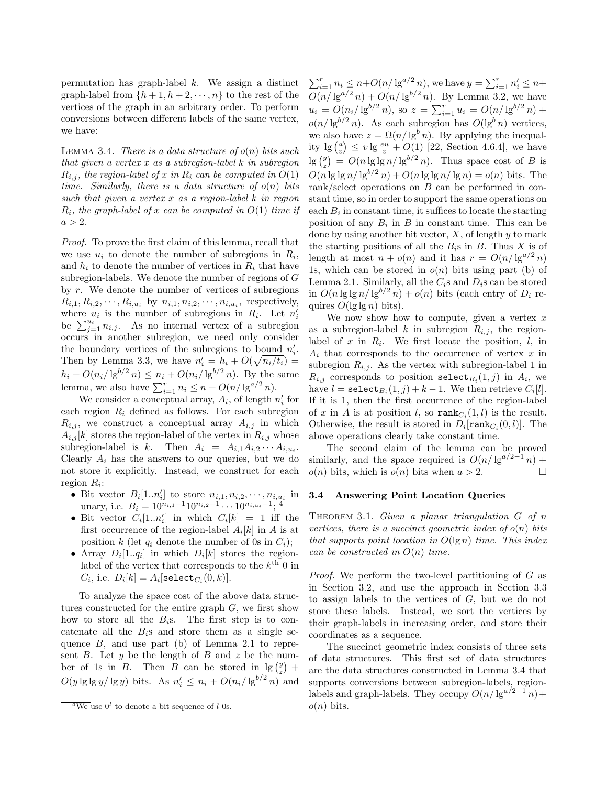permutation has graph-label  $k$ . We assign a distinct graph-label from  $\{h+1, h+2, \dots, n\}$  to the rest of the vertices of the graph in an arbitrary order. To perform conversions between different labels of the same vertex, we have:

Lemma 3.4. *There is a data structure of* o(n) *bits such that given a vertex* x *as a subregion-label* k *in subregion*  $R_{i,j}$ , the region-label of x in  $R_i$  can be computed in  $O(1)$ *time. Similarly, there is a data structure of* o(n) *bits such that given a vertex* x *as a region-label* k *in region* Ri*, the graph-label of* x *can be computed in* O(1) *time if*  $a > 2.$ 

*Proof.* To prove the first claim of this lemma, recall that we use  $u_i$  to denote the number of subregions in  $R_i$ , and  $h_i$  to denote the number of vertices in  $R_i$  that have subregion-labels. We denote the number of regions of G by  $r$ . We denote the number of vertices of subregions  $R_{i,1}, R_{i,2}, \cdots, R_{i,u_i}$  by  $n_{i,1}, n_{i,2}, \cdots, n_{i,u_i}$ , respectively, where  $u_i$  is the number of subregions in  $R_i$ . Let  $n'_i$ be  $\sum_{j=1}^{u_i} n_{i,j}$ . As no internal vertex of a subregion occurs in another subregion, we need only consider the boundary vertices of the subregions to bound  $n'_i$ . Then by Lemma 3.3, we have  $n'_i = h_i + O(\sqrt{n_i/t_i}) =$  $h_i + O(n_i/\lg^{b/2} n) \leq n_i + O(n_i/\lg^{b/2} n)$ . By the same lemma, we also have  $\sum_{i=1}^{r} n_i \leq n + O(n/\lg^{a/2} n)$ .

We consider a conceptual array,  $A_i$ , of length  $n'_i$  for each region  $R_i$  defined as follows. For each subregion  $R_{i,j}$ , we construct a conceptual array  $A_{i,j}$  in which  $A_{i,j}[k]$  stores the region-label of the vertex in  $R_{i,j}$  whose subregion-label is k. Then  $A_i = A_{i,1}A_{i,2} \cdots A_{i,u_i}$ . Clearly  $A_i$  has the answers to our queries, but we do not store it explicitly. Instead, we construct for each region  $R_i$ :

- Bit vector  $B_i[1..n'_i]$  to store  $n_{i,1}, n_{i,2}, \cdots, n_{i,u_i}$  in unary, i.e.  $B_i = 10^{n_{i,1}-1} 10^{n_{i,2}-1} \cdots 10^{n_{i,u_i}-1}$ ; <sup>4</sup>
- Bit vector  $C_i[1..n'_i]$  in which  $C_i[k] = 1$  iff the first occurrence of the region-label  $A_i[k]$  in A is at position k (let  $q_i$  denote the number of 0s in  $C_i$ );
- Array  $D_i[1..q_i]$  in which  $D_i[k]$  stores the regionlabel of the vertex that corresponds to the  $k^{\text{th}}$  0 in  $C_i$ , i.e.  $D_i[k] = A_i[\text{select}_{C_i}(0, k)].$

To analyze the space cost of the above data structures constructed for the entire graph G, we first show how to store all the  $B_i$ s. The first step is to concatenate all the  $B_i$ s and store them as a single sequence  $B$ , and use part (b) of Lemma 2.1 to represent  $B$ . Let  $y$  be the length of  $B$  and  $z$  be the number of 1s in B. Then B can be stored in  $\lg\binom{y}{z}$  +  $O(y \lg \lg y / \lg y)$  bits. As  $n'_i \leq n_i + O(n_i / \lg^{b/2} n)$  and

 $\sum_{i=1}^{r} n_i \leq n + O(n/\lg^{a/2} n)$ , we have  $y = \sum_{i=1}^{r} n'_i \leq n +$  $O(n/\lg^{a/2} n) + O(n/\lg^{b/2} n)$ . By Lemma 3.2, we have  $u_i = O(n_i/\lg^{b/2} n)$ , so  $z = \sum_{i=1}^r u_i = O(n/\lg^{b/2} n) +$  $o(n/\lg^{b/2} n)$ . As each subregion has  $O(\lg^b n)$  vertices, we also have  $z = \Omega(n/\lg^b n)$ . By applying the inequality  $\lg \binom{u}{v} \leq v \lg \frac{eu}{v} + O(1)$  [22, Section 4.6.4], we have  $\lg\binom{y}{z} = O(n \lg \lg n / \lg^{b/2} n)$ . Thus space cost of B is  $O(n \lg \lg n / \lg^{b/2} n) + O(n \lg \lg n / \lg n) = o(n)$  bits. The rank/select operations on B can be performed in constant time, so in order to support the same operations on each  $B_i$  in constant time, it suffices to locate the starting position of any  $B_i$  in B in constant time. This can be done by using another bit vector,  $X$ , of length  $y$  to mark the starting positions of all the  $B_i$ s in B. Thus X is of length at most  $n + o(n)$  and it has  $r = O(n/\lg^{a/2} n)$ 1s, which can be stored in  $o(n)$  bits using part (b) of Lemma 2.1. Similarly, all the  $C_i$ s and  $D_i$ s can be stored in  $O(n \lg \lg n / \lg^{b/2} n) + o(n)$  bits (each entry of  $D_i$  requires  $O(\lg \lg n)$  bits).

We now show how to compute, given a vertex  $x$ as a subregion-label k in subregion  $R_{i,j}$ , the regionlabel of  $x$  in  $R_i$ . We first locate the position,  $l$ , in  $A_i$  that corresponds to the occurrence of vertex x in subregion  $R_{i,j}$ . As the vertex with subregion-label 1 in  $R_{i,j}$  corresponds to position select<sub> $B_i$ </sub> $(1,j)$  in  $A_i$ , we have  $l = \mathtt{select}_{B_i}(1, j) + k - 1$ . We then retrieve  $C_i[l]$ . If it is 1, then the first occurrence of the region-label of x in A is at position l, so  $\text{rank}_{C_i}(1, l)$  is the result. Otherwise, the result is stored in  $D_i$ [ $\text{rank}_{C_i}(0, l)$ ]. The above operations clearly take constant time.

The second claim of the lemma can be proved similarly, and the space required is  $O(n/\lg^{a/2-1} n)$  +  $o(n)$  bits, which is  $o(n)$  bits when  $a > 2$ .

## **3.4 Answering Point Location Queries**

Theorem 3.1. *Given a planar triangulation* G *of* n *vertices, there is a succinct geometric index of*  $o(n)$  *bits that supports point location in* O(lg n) *time. This index can be constructed in* O(n) *time.*

*Proof.* We perform the two-level partitioning of G as in Section 3.2, and use the approach in Section 3.3 to assign labels to the vertices of  $G$ , but we do not store these labels. Instead, we sort the vertices by their graph-labels in increasing order, and store their coordinates as a sequence.

The succinct geometric index consists of three sets of data structures. This first set of data structures are the data structures constructed in Lemma 3.4 that supports conversions between subregion-labels, regionlabels and graph-labels. They occupy  $O(n/\lg^{a/2-1} n)$  +  $o(n)$  bits.

 $\overline{^4We}$  use  $0^l$  to denote a bit sequence of *l* 0s.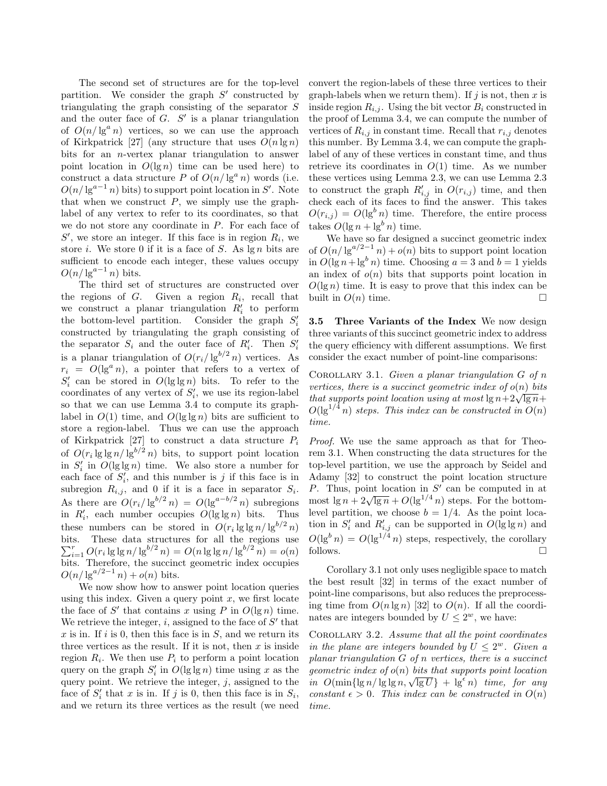The second set of structures are for the top-level partition. We consider the graph  $S'$  constructed by triangulating the graph consisting of the separator S and the outer face of  $G$ .  $S'$  is a planar triangulation of  $O(n/\lg^a n)$  vertices, so we can use the approach of Kirkpatrick [27] (any structure that uses  $O(n \lg n)$ ) bits for an n-vertex planar triangulation to answer point location in  $O(\lg n)$  time can be used here) to construct a data structure P of  $O(n/\lg^a n)$  words (i.e.  $O(n/\lg^{a-1} n)$  bits) to support point location in S'. Note that when we construct  $P$ , we simply use the graphlabel of any vertex to refer to its coordinates, so that we do not store any coordinate in P. For each face of  $S'$ , we store an integer. If this face is in region  $R_i$ , we store i. We store 0 if it is a face of  $S$ . As  $\lg n$  bits are sufficient to encode each integer, these values occupy  $O(n/\lg^{a-1} n)$  bits.

The third set of structures are constructed over the regions of  $G$ . Given a region  $R_i$ , recall that we construct a planar triangulation  $R_i'$  to perform the bottom-level partition. Consider the graph  $S_i'$ constructed by triangulating the graph consisting of the separator  $S_i$  and the outer face of  $R'_i$ . Then  $S'_i$ is a planar triangulation of  $O(r_i/\lg^{b/2} n)$  vertices. As  $r_i = O(\lg^a n)$ , a pointer that refers to a vertex of  $S_i'$  can be stored in  $O(\lg \lg n)$  bits. To refer to the coordinates of any vertex of  $S_i'$ , we use its region-label so that we can use Lemma 3.4 to compute its graphlabel in  $O(1)$  time, and  $O(\lg \lg n)$  bits are sufficient to store a region-label. Thus we can use the approach of Kirkpatrick [27] to construct a data structure  $P_i$ of  $O(r_i \lg \lg n / \lg^{b/2} n)$  bits, to support point location in  $S_i'$  in  $O(\lg \lg n)$  time. We also store a number for each face of  $S_i'$ , and this number is j if this face is in subregion  $R_{i,j}$ , and 0 if it is a face in separator  $S_i$ . As there are  $O(r_i/\lg^{b/2} n) = O(\lg^{a-b/2} n)$  subregions in  $R'_i$ , each number occupies  $O(\lg \lg n)$  bits. Thus these numbers can be stored in  $O(r_i \lg \lg n / \lg^{b/2} n)$ bits. These data structures for all the regions use  $\sum_{i=1}^{r} O(r_i \lg \lg n / \lg^{b/2} n) = O(n \lg \lg n / \lg^{b/2} n) = o(n)$ bits. Therefore, the succinct geometric index occupies  $O(n/\lg^{a/2-1} n) + o(n)$  bits.

We now show how to answer point location queries using this index. Given a query point  $x$ , we first locate the face of S' that contains x using P in  $O(\lg n)$  time. We retrieve the integer,  $i$ , assigned to the face of  $S'$  that  $x$  is in. If i is 0, then this face is in  $S$ , and we return its three vertices as the result. If it is not, then  $x$  is inside region  $R_i$ . We then use  $P_i$  to perform a point location query on the graph  $S_i'$  in  $O(\lg \lg n)$  time using x as the query point. We retrieve the integer,  $j$ , assigned to the face of  $S_i'$  that x is in. If j is 0, then this face is in  $S_i$ , and we return its three vertices as the result (we need convert the region-labels of these three vertices to their graph-labels when we return them). If  $j$  is not, then  $x$  is inside region  $R_{i,j}$ . Using the bit vector  $B_i$  constructed in the proof of Lemma 3.4, we can compute the number of vertices of  $R_{i,j}$  in constant time. Recall that  $r_{i,j}$  denotes this number. By Lemma 3.4, we can compute the graphlabel of any of these vertices in constant time, and thus retrieve its coordinates in  $O(1)$  time. As we number these vertices using Lemma 2.3, we can use Lemma 2.3 to construct the graph  $R'_{i,j}$  in  $O(r_{i,j})$  time, and then check each of its faces to find the answer. This takes  $O(r_{i,j}) = O(\lg^b n)$  time. Therefore, the entire process takes  $O(\lg n + \lg^b n)$  time.

We have so far designed a succinct geometric index of  $O(n/\lg^{a/2-1} n) + o(n)$  bits to support point location in  $O(\lg n + \lg^b n)$  time. Choosing  $a = 3$  and  $b = 1$  yields an index of  $o(n)$  bits that supports point location in  $O(\lg n)$  time. It is easy to prove that this index can be built in  $O(n)$  time.  $\Box$ 

**3.5 Three Variants of the Index** We now design three variants of this succinct geometric index to address the query efficiency with different assumptions. We first consider the exact number of point-line comparisons:

Corollary 3.1. *Given a planar triangulation* G *of* n *vertices, there is a succinct geometric index of*  $o(n)$  *bits that supports point location using at most*  $\lg n + 2\sqrt{\lg n} +$  $O(\lg^{1/4} n)$  *steps. This index can be constructed in*  $O(n)$ *time.*

*Proof.* We use the same approach as that for Theorem 3.1. When constructing the data structures for the top-level partition, we use the approach by Seidel and Adamy [32] to construct the point location structure P. Thus, point location in  $S'$  can be computed in at r. Thus, point location in 3 can be computed in at most  $\lg n + 2\sqrt{\lg n} + O(\lg^{1/4} n)$  steps. For the bottomlevel partition, we choose  $b = 1/4$ . As the point location in  $S_i'$  and  $R_{i,j}'$  can be supported in  $O(\lg \lg n)$  and  $O(\lg^b n) = O(\lg^{1/4} n)$  steps, respectively, the corollary follows.  $\Box$ 

Corollary 3.1 not only uses negligible space to match the best result [32] in terms of the exact number of point-line comparisons, but also reduces the preprocessing time from  $O(n \lg n)$  [32] to  $O(n)$ . If all the coordinates are integers bounded by  $U \leq 2^w$ , we have:

Corollary 3.2. *Assume that all the point coordinates in the plane are integers bounded by*  $U \leq 2^w$ . *Given a planar triangulation* G *of* n *vertices, there is a succinct geometric index of* o(n) *bits that supports point location in*  $O(\min{\{\lg n / \lg \lg n, \sqrt{\lg U}\}} + \lg^{\epsilon} n)$  *time, for any constant*  $\epsilon > 0$ *. This index can be constructed in*  $O(n)$ *time.*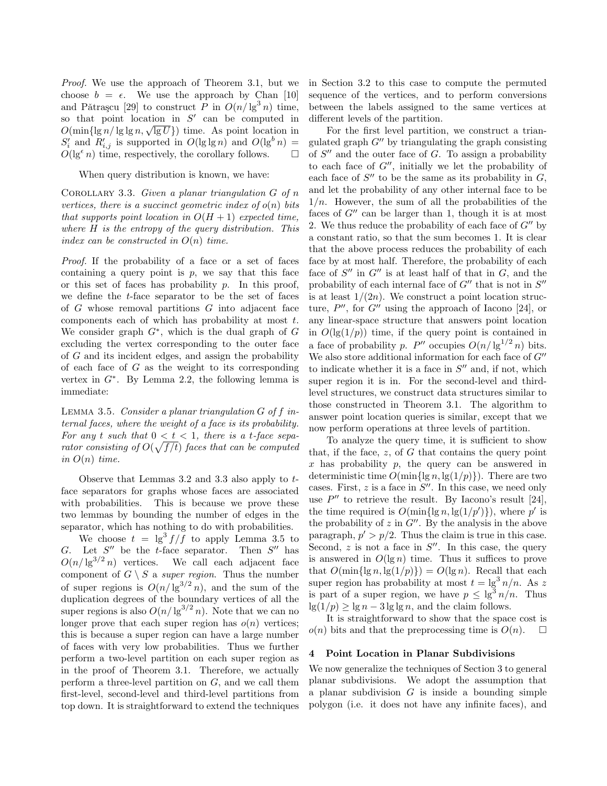*Proof.* We use the approach of Theorem 3.1, but we choose  $b = \epsilon$ . We use the approach by Chan [10] and Pǎtrașcu [29] to construct P in  $O(n/\lg^3 n)$  time, so that point location in  $S'$  can be computed in  $O(\min\{\lg n/\lg\lg n, \sqrt{\lg U}\})$  time. As point location in  $S_i'$  and  $R_{i,j}'$  is supported in  $O(\lg \lg n)$  and  $O(\lg^b n)$  =  $O(\lg^{\epsilon} n)$  time, respectively, the corollary follows.  $\Box$  $\Box$ 

When query distribution is known, we have:

Corollary 3.3. *Given a planar triangulation* G *of* n *vertices, there is a succinct geometric index of*  $o(n)$  *bits that supports point location in*  $O(H + 1)$  *expected time, where* H *is the entropy of the query distribution. This index can be constructed in* O(n) *time.*

*Proof.* If the probability of a face or a set of faces containing a query point is  $p$ , we say that this face or this set of faces has probability  $p$ . In this proof, we define the t-face separator to be the set of faces of G whose removal partitions G into adjacent face components each of which has probability at most t. We consider graph  $G^*$ , which is the dual graph of G excluding the vertex corresponding to the outer face of G and its incident edges, and assign the probability of each face of  $G$  as the weight to its corresponding vertex in  $G^*$ . By Lemma 2.2, the following lemma is immediate:

Lemma 3.5. *Consider a planar triangulation* G *of* f *internal faces, where the weight of a face is its probability.* For any t such that  $0 < t < 1$ , there is a t-face sepa*rator consisting of*  $O(\sqrt{f/t})$  *faces that can be computed in*  $O(n)$  *time.* 

Observe that Lemmas 3.2 and 3.3 also apply to tface separators for graphs whose faces are associated with probabilities. This is because we prove these two lemmas by bounding the number of edges in the separator, which has nothing to do with probabilities.

We choose  $t = \lg^3 f/f$  to apply Lemma 3.5 to G. Let  $S''$  be the t-face separator. Then  $S''$  has  $O(n/\lg^{3/2} n)$  vertices. We call each adjacent face component of  $G \setminus S$  a *super region*. Thus the number of super regions is  $O(n/\lg^{3/2} n)$ , and the sum of the duplication degrees of the boundary vertices of all the super regions is also  $O(n/\lg^{3/2} n)$ . Note that we can no longer prove that each super region has  $o(n)$  vertices; this is because a super region can have a large number of faces with very low probabilities. Thus we further perform a two-level partition on each super region as in the proof of Theorem 3.1. Therefore, we actually perform a three-level partition on  $G$ , and we call them first-level, second-level and third-level partitions from top down. It is straightforward to extend the techniques in Section 3.2 to this case to compute the permuted sequence of the vertices, and to perform conversions between the labels assigned to the same vertices at different levels of the partition.

For the first level partition, we construct a triangulated graph  $G''$  by triangulating the graph consisting of  $S''$  and the outer face of  $G$ . To assign a probability to each face of  $G''$ , initially we let the probability of each face of  $S''$  to be the same as its probability in  $G$ , and let the probability of any other internal face to be  $1/n$ . However, the sum of all the probabilities of the faces of  $G''$  can be larger than 1, though it is at most 2. We thus reduce the probability of each face of  $G''$  by a constant ratio, so that the sum becomes 1. It is clear that the above process reduces the probability of each face by at most half. Therefore, the probability of each face of  $S''$  in  $G''$  is at least half of that in  $G$ , and the probability of each internal face of  $G''$  that is not in  $S''$ is at least  $1/(2n)$ . We construct a point location structure,  $P''$ , for  $G''$  using the approach of Iacono [24], or any linear-space structure that answers point location in  $O(\lg(1/p))$  time, if the query point is contained in a face of probability p. P'' occupies  $O(n/\lg^{1/2} n)$  bits. We also store additional information for each face of  $G''$ to indicate whether it is a face in  $S''$  and, if not, which super region it is in. For the second-level and thirdlevel structures, we construct data structures similar to those constructed in Theorem 3.1. The algorithm to answer point location queries is similar, except that we now perform operations at three levels of partition.

To analyze the query time, it is sufficient to show that, if the face,  $z$ , of  $G$  that contains the query point  $x$  has probability  $p$ , the query can be answered in deterministic time  $O(\min\{\lg n, \lg(1/p)\})$ . There are two cases. First,  $z$  is a face in  $S''$ . In this case, we need only use  $P''$  to retrieve the result. By Iacono's result [24], the time required is  $O(\min\{\lg n, \lg(1/p')\})$ , where p' is the probability of  $z$  in  $G''$ . By the analysis in the above paragraph,  $p' > p/2$ . Thus the claim is true in this case. Second,  $z$  is not a face in  $S''$ . In this case, the query is answered in  $O(\lg n)$  time. Thus it suffices to prove that  $O(\min\{\lg n, \lg(1/p)\}) = O(\lg n)$ . Recall that each super region has probability at most  $t = \lg^3 n/n$ . As z is part of a super region, we have  $p \le \lg^3 n/n$ . Thus  $\lg(1/p) \geq \lg n - 3 \lg \lg n$ , and the claim follows.

It is straightforward to show that the space cost is  $o(n)$  bits and that the preprocessing time is  $O(n)$ .  $\Box$ 

#### **4 Point Location in Planar Subdivisions**

We now generalize the techniques of Section 3 to general planar subdivisions. We adopt the assumption that a planar subdivision  $G$  is inside a bounding simple polygon (i.e. it does not have any infinite faces), and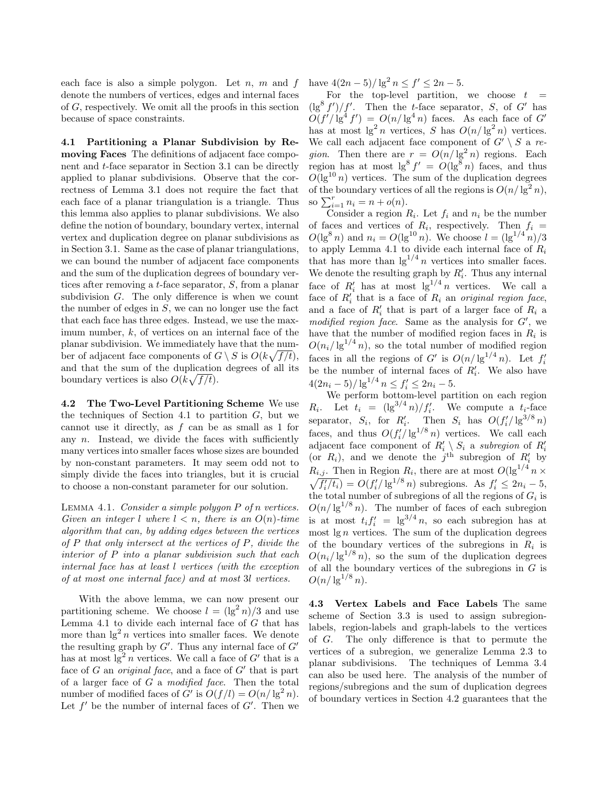each face is also a simple polygon. Let  $n$ ,  $m$  and  $f$ denote the numbers of vertices, edges and internal faces of G, respectively. We omit all the proofs in this section because of space constraints.

**4.1 Partitioning a Planar Subdivision by Removing Faces** The definitions of adjacent face component and t-face separator in Section 3.1 can be directly applied to planar subdivisions. Observe that the correctness of Lemma 3.1 does not require the fact that each face of a planar triangulation is a triangle. Thus this lemma also applies to planar subdivisions. We also define the notion of boundary, boundary vertex, internal vertex and duplication degree on planar subdivisions as in Section 3.1. Same as the case of planar triangulations, we can bound the number of adjacent face components and the sum of the duplication degrees of boundary vertices after removing a t-face separator, S, from a planar subdivision G. The only difference is when we count the number of edges in  $S$ , we can no longer use the fact that each face has three edges. Instead, we use the maximum number,  $k$ , of vertices on an internal face of the planar subdivision. We immediately have that the number of adjacent face components of  $G \setminus S$  is  $O(k\sqrt{f/t}),$ and that the sum of the duplication degrees of all its boundary vertices is also  $O(k\sqrt{f/t})$ .

**4.2 The Two-Level Partitioning Scheme** We use the techniques of Section 4.1 to partition  $G$ , but we cannot use it directly, as f can be as small as 1 for any  $n$ . Instead, we divide the faces with sufficiently many vertices into smaller faces whose sizes are bounded by non-constant parameters. It may seem odd not to simply divide the faces into triangles, but it is crucial to choose a non-constant parameter for our solution.

Lemma 4.1. *Consider a simple polygon* P *of* n *vertices. Given an integer l* where  $l < n$ , there is an  $O(n)$ -time *algorithm that can, by adding edges between the vertices of* P *that only intersect at the vertices of* P*, divide the interior of* P *into a planar subdivision such that each internal face has at least* l *vertices (with the exception of at most one internal face) and at most* 3l *vertices.*

With the above lemma, we can now present our partitioning scheme. We choose  $l = (\lg^2 n)/3$  and use Lemma 4.1 to divide each internal face of  $G$  that has more than  $\lg^2 n$  vertices into smaller faces. We denote the resulting graph by  $G'$ . Thus any internal face of  $G'$ has at most  $\lg^2 n$  vertices. We call a face of  $G'$  that is a face of  $G$  an *original face*, and a face of  $G'$  that is part of a larger face of G a *modified face*. Then the total number of modified faces of  $G'$  is  $O(f/l) = O(n/\lg^2 n)$ . Let  $f'$  be the number of internal faces of  $G'$ . Then we

have  $4(2n-5)/\lg^2 n \le f' \le 2n-5$ .

For the top-level partition, we choose  $t =$  $(\lg^8 f')/f'$ . Then the t-face separator, S, of G' has  $O(f'/\lg^4 f') = O(n/\lg^4 n)$  faces. As each face of G' has at most  $\lg^2 n$  vertices, S has  $O(n/\lg^2 n)$  vertices. We call each adjacent face component of  $G' \setminus S$  a *region*. Then there are  $r = O(n/\lg^2 n)$  regions. Each region has at most  $\lg^8 f' = O(\lg^8 n)$  faces, and thus  $O(\lg^{10} n)$  vertices. The sum of the duplication degrees of the boundary vertices of all the regions is  $O(n/\lg^2 n)$ , so  $\sum_{i=1}^{r} n_i = n + o(n)$ .

Consider a region  $R_i$ . Let  $f_i$  and  $n_i$  be the number of faces and vertices of  $R_i$ , respectively. Then  $f_i =$  $O(\lg^8 n)$  and  $n_i = O(\lg^{10} n)$ . We choose  $l = (\lg^{1/4} n)/3$ to apply Lemma 4.1 to divide each internal face of  $R_i$ that has more than  $\lg^{1/4} n$  vertices into smaller faces. We denote the resulting graph by  $R'_i$ . Thus any internal face of  $R'_i$  has at most  $\lg^{1/4} n$  vertices. We call a face of  $R_i'$  that is a face of  $R_i$  an *original region face*, and a face of  $R'_i$  that is part of a larger face of  $R_i$  a modified region face. Same as the analysis for  $G'$ , we have that the number of modified region faces in  $R_i$  is  $O(n_i/\lg^{1/4} n)$ , so the total number of modified region faces in all the regions of G' is  $O(n/\lg^{1/4} n)$ . Let  $f_i'$ be the number of internal faces of  $R_i'$ . We also have  $4(2n_i-5)/\lg^{1/4} n \leq f'_i \leq 2n_i-5.$ 

We perform bottom-level partition on each region  $R_i$ . Let  $t_i = (\lg^{3/4} n)/f'_i$ . We compute a  $t_i$ -face separator,  $S_i$ , for  $R'_i$ . Then  $S_i$  has  $O(f'_i/\lg^{3/8} n)$ faces, and thus  $O(f_i'/\lg^{1/8} n)$  vertices. We call each adjacent face component of  $R'_i \setminus S_i$  a *subregion* of  $R'_i$  (or  $R_i$ ), and we denote the j<sup>th</sup> subregion of  $R'_i$  by  $R_{i,j}$ . Then in Region  $R_i$ , there are at most  $O(\lg^{1/4} n \times$  $\sqrt{f'_i/t_i}$  =  $O(f'_i/\lg^{1/8} n)$  subregions. As  $f'_i \le 2n_i - 5$ , the total number of subregions of all the regions of  $G_i$  is  $O(n/\lg^{1/8} n)$ . The number of faces of each subregion is at most  $t_i f'_i = \lg^{3/4} n$ , so each subregion has at most  $\lg n$  vertices. The sum of the duplication degrees of the boundary vertices of the subregions in  $R_i$  is  $O(n_i/\lg^{1/8} n)$ , so the sum of the duplication degrees of all the boundary vertices of the subregions in  $G$  is  $O(n/\lg^{1/8} n)$ .

**4.3 Vertex Labels and Face Labels** The same scheme of Section 3.3 is used to assign subregionlabels, region-labels and graph-labels to the vertices of G. The only difference is that to permute the vertices of a subregion, we generalize Lemma 2.3 to planar subdivisions. The techniques of Lemma 3.4 can also be used here. The analysis of the number of regions/subregions and the sum of duplication degrees of boundary vertices in Section 4.2 guarantees that the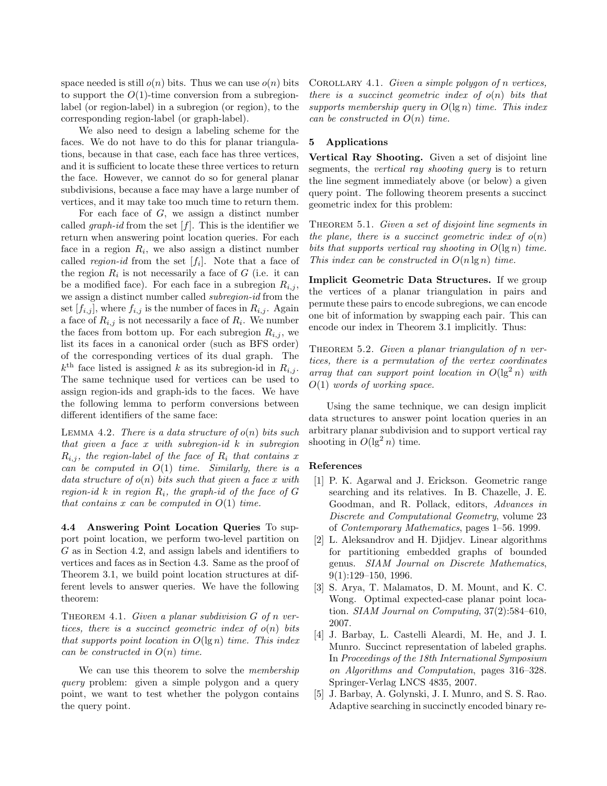space needed is still  $o(n)$  bits. Thus we can use  $o(n)$  bits to support the  $O(1)$ -time conversion from a subregionlabel (or region-label) in a subregion (or region), to the corresponding region-label (or graph-label).

We also need to design a labeling scheme for the faces. We do not have to do this for planar triangulations, because in that case, each face has three vertices, and it is sufficient to locate these three vertices to return the face. However, we cannot do so for general planar subdivisions, because a face may have a large number of vertices, and it may take too much time to return them.

For each face of  $G$ , we assign a distinct number called *graph-id* from the set  $[f]$ . This is the identifier we return when answering point location queries. For each face in a region  $R_i$ , we also assign a distinct number called *region-id* from the set  $[f_i]$ . Note that a face of the region  $R_i$  is not necessarily a face of  $G$  (i.e. it can be a modified face). For each face in a subregion  $R_{i,j}$ , we assign a distinct number called *subregion-id* from the set  $[f_{i,j}]$ , where  $f_{i,j}$  is the number of faces in  $R_{i,j}$ . Again a face of  $R_{i,j}$  is not necessarily a face of  $R_i$ . We number the faces from bottom up. For each subregion  $R_{i,j}$ , we list its faces in a canonical order (such as BFS order) of the corresponding vertices of its dual graph. The  $k^{\text{th}}$  face listed is assigned k as its subregion-id in  $R_{i,j}$ . The same technique used for vertices can be used to assign region-ids and graph-ids to the faces. We have the following lemma to perform conversions between different identifiers of the same face:

Lemma 4.2. *There is a data structure of* o(n) *bits such that given a face* x *with subregion-id* k *in subregion*  $R_{i,j}$ , the region-label of the face of  $R_i$  that contains x *can be computed in* O(1) *time. Similarly, there is a data structure of* o(n) *bits such that given a face* x *with region-id* k *in region*  $R_i$ *, the graph-id of the face of*  $G$ *that contains* x *can be computed in* O(1) *time.*

**4.4 Answering Point Location Queries** To support point location, we perform two-level partition on G as in Section 4.2, and assign labels and identifiers to vertices and faces as in Section 4.3. Same as the proof of Theorem 3.1, we build point location structures at different levels to answer queries. We have the following theorem:

Theorem 4.1. *Given a planar subdivision* G *of* n *vertices, there is a succinct geometric index of*  $o(n)$  *bits that supports point location in* O(lg n) *time. This index can be constructed in* O(n) *time.*

We can use this theorem to solve the *membership query* problem: given a simple polygon and a query point, we want to test whether the polygon contains the query point.

Corollary 4.1. *Given a simple polygon of* n *vertices, there is a succinct geometric index of* o(n) *bits that supports membership query in* O(lg n) *time. This index can be constructed in* O(n) *time.*

## **5 Applications**

**Vertical Ray Shooting.** Given a set of disjoint line segments, the *vertical ray shooting query* is to return the line segment immediately above (or below) a given query point. The following theorem presents a succinct geometric index for this problem:

Theorem 5.1. *Given a set of disjoint line segments in the plane, there is a succinct geometric index of*  $o(n)$ *bits that supports vertical ray shooting in* O(lg n) *time. This index can be constructed in* O(n lg n) *time.*

**Implicit Geometric Data Structures.** If we group the vertices of a planar triangulation in pairs and permute these pairs to encode subregions, we can encode one bit of information by swapping each pair. This can encode our index in Theorem 3.1 implicitly. Thus:

THEOREM 5.2. *Given a planar triangulation of n vertices, there is a permutation of the vertex coordinates array that can support point location in*  $O(\lg^2 n)$  *with* O(1) *words of working space.*

Using the same technique, we can design implicit data structures to answer point location queries in an arbitrary planar subdivision and to support vertical ray shooting in  $O(\lg^2 n)$  time.

#### **References**

- [1] P. K. Agarwal and J. Erickson. Geometric range searching and its relatives. In B. Chazelle, J. E. Goodman, and R. Pollack, editors, *Advances in Discrete and Computational Geometry*, volume 23 of *Contemporary Mathematics*, pages 1–56. 1999.
- [2] L. Aleksandrov and H. Djidjev. Linear algorithms for partitioning embedded graphs of bounded genus. *SIAM Journal on Discrete Mathematics*, 9(1):129–150, 1996.
- [3] S. Arya, T. Malamatos, D. M. Mount, and K. C. Wong. Optimal expected-case planar point location. *SIAM Journal on Computing*, 37(2):584–610, 2007.
- [4] J. Barbay, L. Castelli Aleardi, M. He, and J. I. Munro. Succinct representation of labeled graphs. In *Proceedings of the 18th International Symposium on Algorithms and Computation*, pages 316–328. Springer-Verlag LNCS 4835, 2007.
- [5] J. Barbay, A. Golynski, J. I. Munro, and S. S. Rao. Adaptive searching in succinctly encoded binary re-